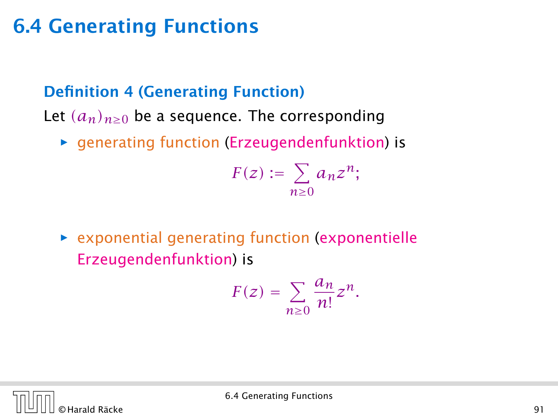#### Definition 4 (Generating Function)

Let  $(a_n)_{n\geq 0}$  be a sequence. The corresponding

**▶** generating function (Erzeugendenfunktion) is

$$
F(z) := \sum_{n\geq 0} a_n z^n;
$$

**P** exponential generating function (exponentielle Erzeugendenfunktion) is

$$
F(z) = \sum_{n\geq 0} \frac{a_n}{n!} z^n.
$$

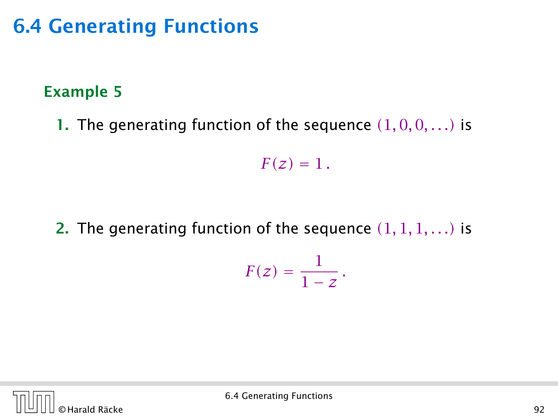#### Example 5

1. The generating function of the sequence  $(1,0,0,\ldots)$  is

 $F(z) = 1$ .

2. The generating function of the sequence *(*1*,* 1*,* 1*, . . .)* is

$$
F(z)=\frac{1}{1-z}.
$$

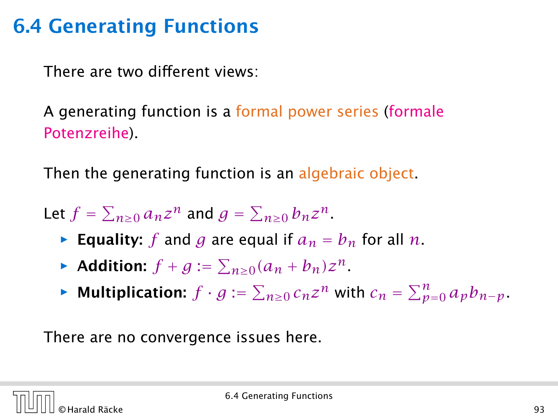There are two different views:

A generating function is a formal power series (formale Potenzreihe).

Then the generating function is an algebraic object.

Let  $f = \sum_{n \geq 0} a_n z^n$  and  $g = \sum_{n \geq 0} b_n z^n$ .

- $\triangleright$  Equality: *f* and *g* are equal if  $a_n = b_n$  for all *n*.
- ▶ Addition:  $f + g := \sum_{n \geq 0} (a_n + b_n) z^n$ .
- ▶ **Multiplication:**  $f \cdot g := \sum_{n \geq 0} c_n z^n$  with  $c_n = \sum_{p=0}^n a_p b_{n-p}$ .

There are no convergence issues here.

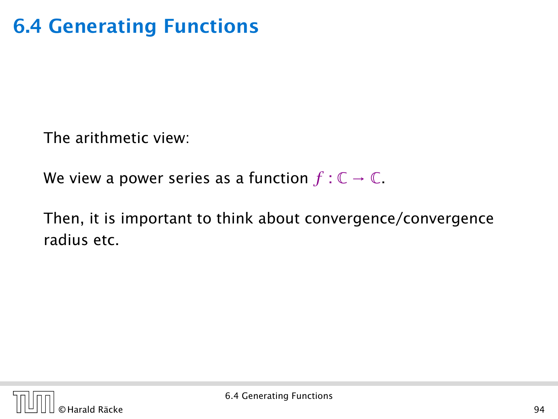The arithmetic view:

We view a power series as a function  $f: \mathbb{C} \to \mathbb{C}$ .

Then, it is important to think about convergence/convergence radius etc.

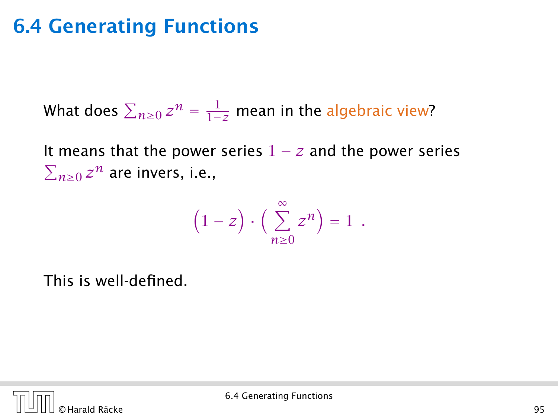What does  $\sum_{n\geq 0} z^n = \frac{1}{1-z}$  mean in the algebraic view?

It means that the power series  $1 - z$  and the power series  $\sum_{n\geq 0} z^n$  are invers, i.e.,

$$
(1-z)\cdot\left(\sum_{n\geq 0}^{\infty}z^n\right)=1.
$$

This is well-defined.

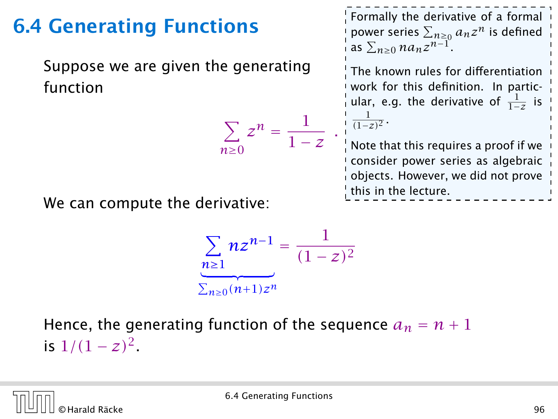Suppose we are given the generating function

$$
\sum_{n\geq 0} z^n = \frac{1}{1-z}
$$

1

*.*

Formally the derivative of a formal power series  $\sum_{n\geq 0} a_n z^n$  is defined  $\sum_{n\geq 0}$   $n a_n z^{n-1}$ .

The known rules for differentiation work for this definition. In particular, e.g. the derivative of  $\frac{1}{1-z}$  is  $\frac{1}{(1-z)^2}$ .

Note that this requires a proof if we consider power series as algebraic objects. However, we did not prove  $\frac{1}{2}$  this in the lecture.

We can compute the derivative:

$$
\sum_{n\geq 1} nz^{n-1} = \frac{1}{(1-z)^2}
$$

$$
\sum_{n\geq 0} (n+1)z^n
$$

Hence, the generating function of the sequence  $a_n = n + 1$ is  $1/(1-z)^2$ .

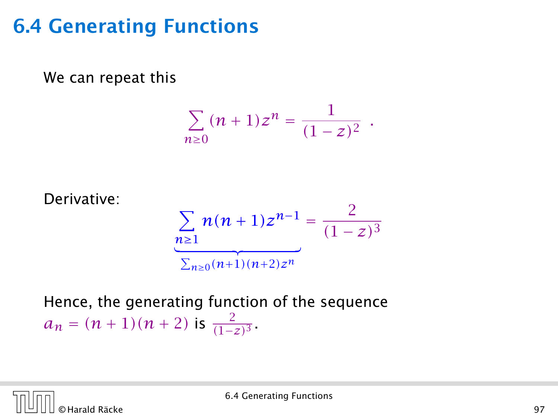We can repeat this

$$
\sum_{n\geq 0} (n+1)z^n = \frac{1}{(1-z)^2} .
$$

Derivative:  
\n
$$
\sum_{n\geq 1} n(n+1)z^{n-1} = \frac{2}{(1-z)^3}
$$
\n
$$
\sum_{n\geq 0} \frac{n(n+1)(n+2)z^n}{(1-z)^3}
$$

Hence, the generating function of the sequence  $a_n = (n+1)(n+2)$  is  $\frac{2}{(1-z)^3}$ .

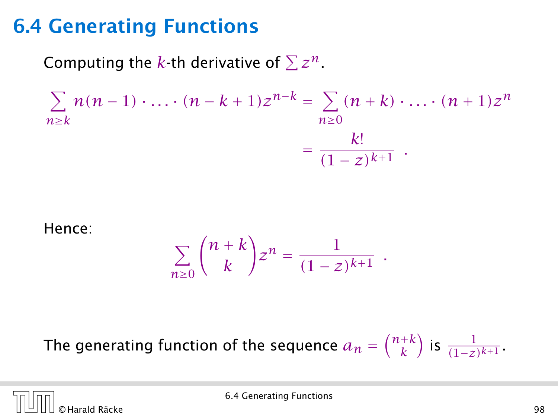Computing the  $k$ -th derivative of  $\sum z^n$ .

$$
\sum_{n\geq k} n(n-1)\cdot \ldots \cdot (n-k+1)z^{n-k} = \sum_{n\geq 0} (n+k)\cdot \ldots \cdot (n+1)z^n
$$

$$
= \frac{k!}{(1-z)^{k+1}}.
$$

Hence:

$$
\sum_{n\geq 0} \binom{n+k}{k} z^n = \frac{1}{(1-z)^{k+1}}.
$$

The generating function of the sequence  $a_n = \binom{n+k}{k}$  is  $\frac{1}{(1-z)^{k+1}}$ .

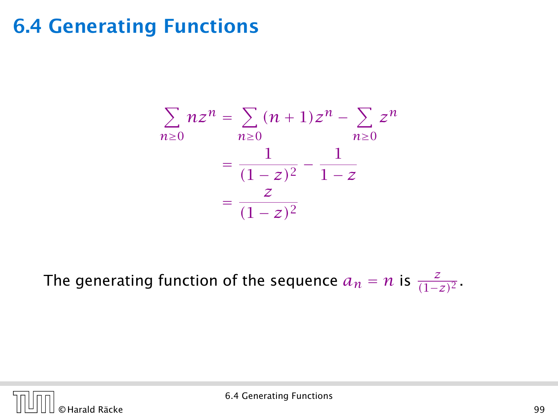$$
\sum_{n\geq 0} nz^n = \sum_{n\geq 0} (n+1)z^n - \sum_{n\geq 0} z^n
$$

$$
= \frac{1}{(1-z)^2} - \frac{1}{1-z}
$$

$$
= \frac{z}{(1-z)^2}
$$

The generating function of the sequence  $a_n = n$  is  $\frac{z}{(1-z)^2}$ .

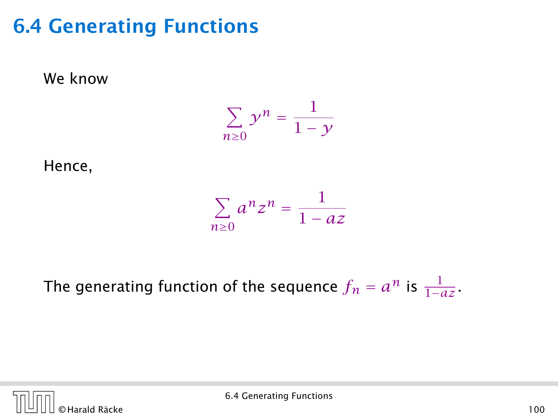

Hence,

We know

$$
\sum_{n\geq 0} a^n z^n = \frac{1}{1 - az}
$$

The generating function of the sequence  $f_n = a^n$  is  $\frac{1}{1 - az}$ .

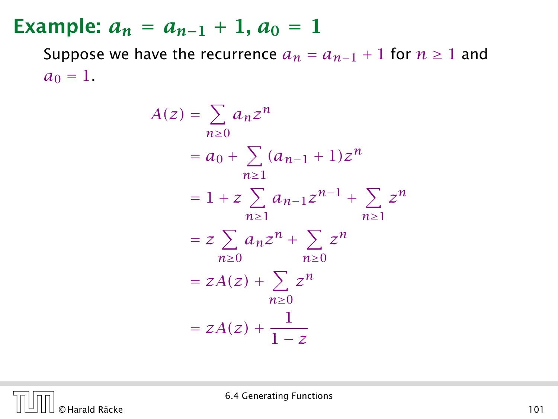Suppose we have the recurrence  $a_n = a_{n-1} + 1$  for  $n \ge 1$  and  $a_0 = 1$ .

$$
A(z) = \sum_{n\geq 0} a_n z^n
$$
  
=  $a_0 + \sum_{n\geq 1} (a_{n-1} + 1) z^n$   
=  $1 + z \sum_{n\geq 1} a_{n-1} z^{n-1} + \sum_{n\geq 1} z^n$   
=  $z \sum_{n\geq 0} a_n z^n + \sum_{n\geq 0} z^n$   
=  $zA(z) + \sum_{n\geq 0} z^n$   
=  $zA(z) + \frac{1}{1-z}$ 

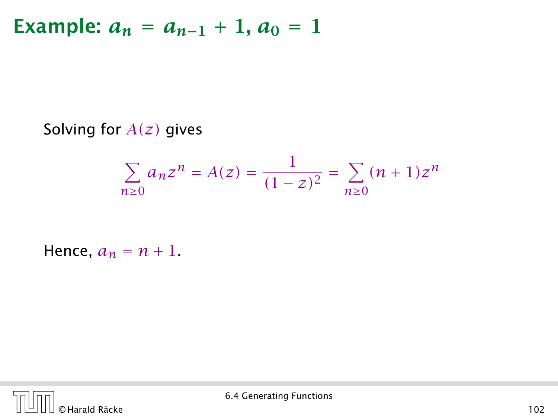Solving for *A(z)* gives

$$
\sum_{n\geq 0} a_n z^n = A(z) = \frac{1}{(1-z)^2} = \sum_{n\geq 0} (n+1) z^n
$$

Hence,  $a_n = n + 1$ .

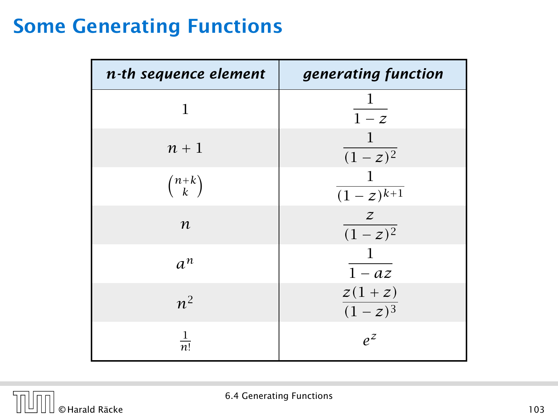### Some Generating Functions

| n-th sequence element | generating function                 |
|-----------------------|-------------------------------------|
| 1                     | $\perp$<br>$\overline{1-z}$         |
| $n+1$                 | $\mathbf{1}$<br>$\frac{1}{(1-z)^2}$ |
| $\binom{n+k}{k}$      | -1<br>$\overline{(1-z)^{k+1}}$      |
| $\boldsymbol{n}$      | $\frac{z}{(1-z)^2}$                 |
| $a^n$                 | $\mathbf{1}$<br>$\overline{1 - az}$ |
| $n^2$                 | $z(1+z)$<br>$\frac{1}{(1-z)^3}$     |
| $\frac{1}{n!}$        | $e^z$                               |

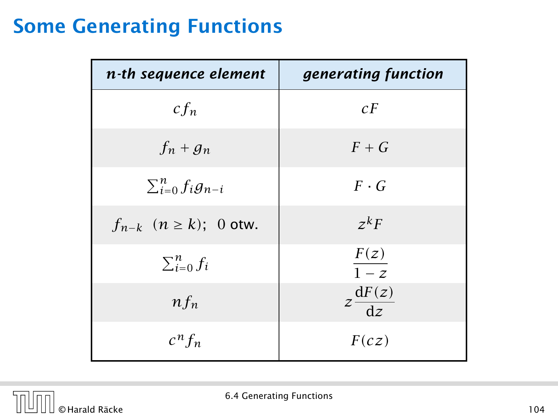### Some Generating Functions

| n-th sequence element          | generating function                   |
|--------------------------------|---------------------------------------|
| $cf_n$                         | cF                                    |
| $f_n + g_n$                    | $F + G$                               |
| $\sum_{i=0}^{n} f_i g_{n-i}$   | $F \cdot G$                           |
| $f_{n-k}$ $(n \ge k)$ ; 0 otw. | $z^k F$                               |
| $\sum_{i=0}^{n} f_i$           | F(z)<br>$\overline{1-z}$              |
| $n f_n$                        | $z\frac{\mathrm{d}F(z)}{\mathrm{d}z}$ |
| $c^n f_n$                      | F(cz)                                 |

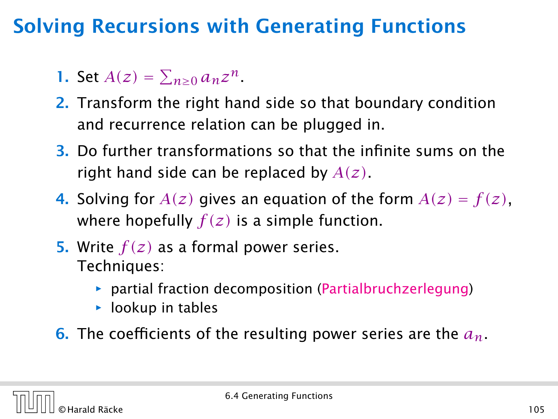# Solving Recursions with Generating Functions

1. Set  $A(z) = \sum_{n \geq 0} a_n z^n$ .

- 2. Transform the right hand side so that boundary condition and recurrence relation can be plugged in.
- 3. Do further transformations so that the infinite sums on the right hand side can be replaced by *A(z)*.
- 4. Solving for  $A(z)$  gives an equation of the form  $A(z) = f(z)$ , where hopefully  $f(z)$  is a simple function.
- 5. Write *f (z)* as a formal power series. Techniques:
	- **•** partial fraction decomposition (Partialbruchzerlegung)
	- $\rightarrow$  lookup in tables
- 6. The coefficients of the resulting power series are the *an*.

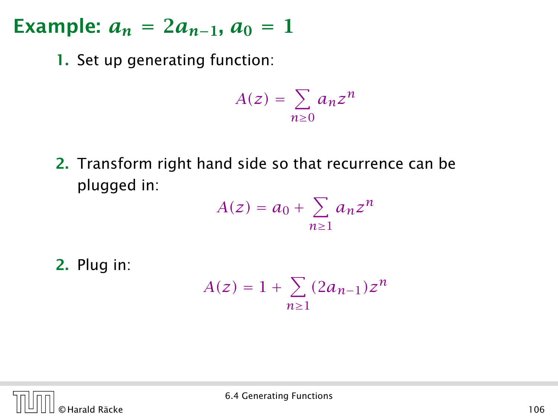1. Set up generating function:

$$
A(z) = \sum_{n\geq 0} a_n z^n
$$

2. Transform right hand side so that recurrence can be plugged in:

$$
A(z) = a_0 + \sum_{n\geq 1} a_n z^n
$$

2. Plug in:

$$
A(z) = 1 + \sum_{n\geq 1} (2a_{n-1})z^n
$$

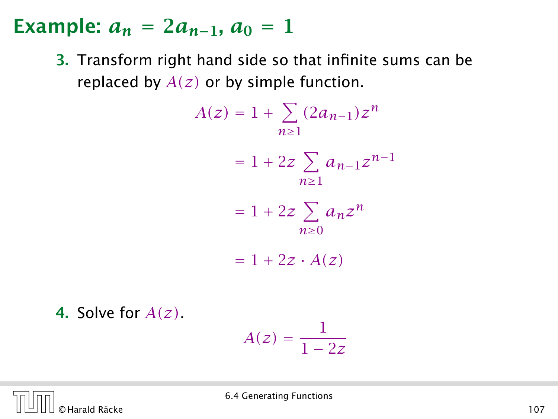3. Transform right hand side so that infinite sums can be replaced by *A(z)* or by simple function.

$$
A(z) = 1 + \sum_{n\geq 1} (2a_{n-1})z^n
$$
  
= 1 + 2z  $\sum_{n\geq 1} a_{n-1}z^{n-1}$   
= 1 + 2z  $\sum_{n\geq 0} a_n z^n$   
= 1 + 2z · A(z)  
  
4. Solve for A(z).  
  
A(z) =  $\frac{1}{1 - 2z}$ 

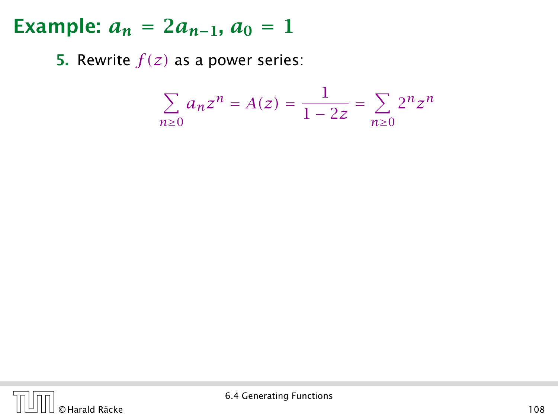**5.** Rewrite  $f(z)$  as a power series:

$$
\sum_{n\geq 0} a_n z^n = A(z) = \frac{1}{1 - 2z} = \sum_{n\geq 0} 2^n z^n
$$

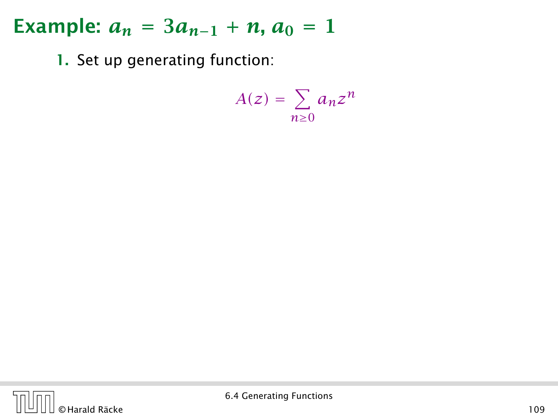1. Set up generating function:

$$
A(z) = \sum_{n\geq 0} a_n z^n
$$

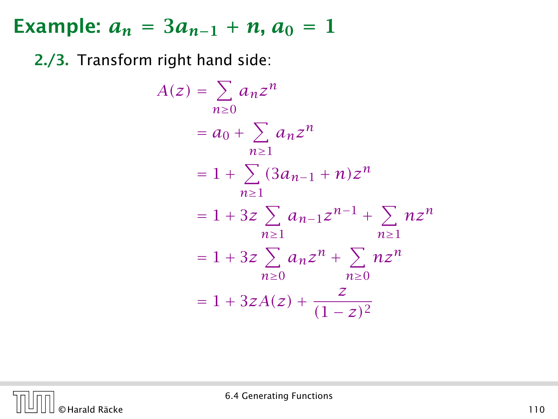2./3. Transform right hand side:

$$
A(z) = \sum_{n\geq 0} a_n z^n
$$
  
=  $a_0 + \sum_{n\geq 1} a_n z^n$   
=  $1 + \sum_{n\geq 1} (3a_{n-1} + n) z^n$   
=  $1 + 3z \sum_{n\geq 1} a_{n-1} z^{n-1} + \sum_{n\geq 1} n z^n$   
=  $1 + 3z \sum_{n\geq 0} a_n z^n + \sum_{n\geq 0} n z^n$   
=  $1 + 3zA(z) + \frac{z}{(1-z)^2}$ 

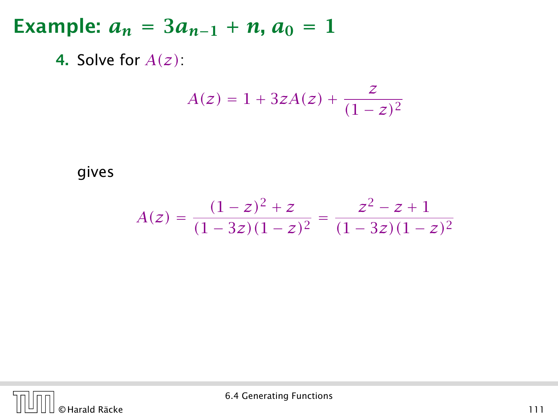4. Solve for *A(z)*:

$$
A(z) = 1 + 3zA(z) + \frac{z}{(1 - z)^2}
$$

gives

$$
A(z) = \frac{(1-z)^2 + z}{(1-3z)(1-z)^2} = \frac{z^2 - z + 1}{(1-3z)(1-z)^2}
$$

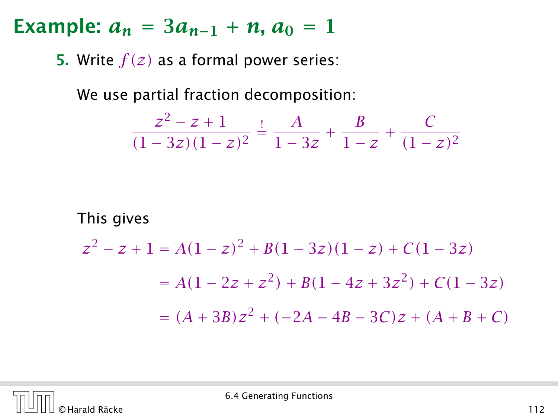**5.** Write  $f(z)$  as a formal power series:

We use partial fraction decomposition:

$$
\frac{z^2 - z + 1}{(1 - 3z)(1 - z)^2} \stackrel{!}{=} \frac{A}{1 - 3z} + \frac{B}{1 - z} + \frac{C}{(1 - z)^2}
$$

This gives

$$
z^{2} - z + 1 = A(1 - z)^{2} + B(1 - 3z)(1 - z) + C(1 - 3z)
$$
  
=  $A(1 - 2z + z^{2}) + B(1 - 4z + 3z^{2}) + C(1 - 3z)$   
=  $(A + 3B)z^{2} + (-2A - 4B - 3C)z + (A + B + C)$ 

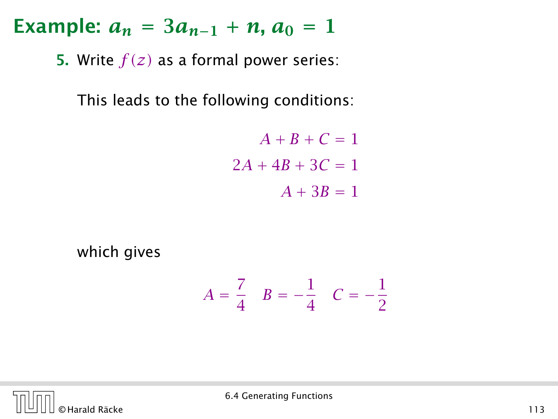**5.** Write  $f(z)$  as a formal power series:

This leads to the following conditions:

 $A + B + C = 1$  $2A + 4B + 3C = 1$  $A + 3B = 1$ 

which gives

$$
A = \frac{7}{4} \quad B = -\frac{1}{4} \quad C = -\frac{1}{2}
$$